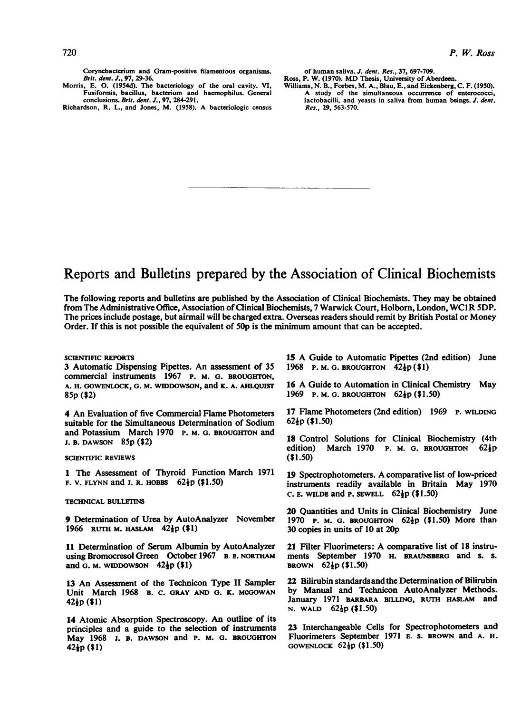Corynebacterium and Gram-positive filamentous organisms. Brit. dent. J., 97, 29-36.

Morris, E. 0. (1954d). The bacteriology of the oral cavity. VI, Fusiformis, bacillus, bacterium and haemophilus. General conclusions. Brit. dent. J., 97, 284-291.

Richardson, R. L., and Jones, M. (1958). A bacteriologic census

of human saliva. J. dent. Res., 37, 697-709.

Ross, P. W. (1970). MD Thesis, University of Aberdeen.

Williams, N. B., Forbes, M. A., Blau, E., and Eickenberg, C. F. (1950). A study of the simultaneous occurrence of enterococci, lactobacilli, and yeasts in saliva from human beings. J. dent. Res., 29, 563-570.

# Reports and Bulletins prepared by the Association of Clinical Biochemists

The following reports and bulletins are published by the Association of Clinical Biochemists. They may be obtained from The Administrative Office, Association of Clinical Biochemists, <sup>7</sup> Warwick Court, Holbom, London, WCI R 5DP. The prices include postage, but airmail will be charged extra. Overseas readers should remit by British Postal or Money Order. If this is not possible the equivalent of 50p is the minimum amount that can be accepted.

SCIENTIFIC REPORTS

3 Automatic Dispensing Pipettes. An assessment of 35 commercial instruments 1967 P. M. G. BROUGHTON, A. H. GOWENLOCK, G. M. WIDDOWSON, and K. A. AHLQUST 85p (\$2)

4 An Evaluation of five Commercial Flame Photometers suitable for the Simultaneous Determination of Sodium and Potassium March 1970 P. M. G. BROUGHTON and J. B. DAWSON 85p (\$2)

SCIENTIFIC REVIEWS

<sup>1</sup> The Assessment of Thyroid Function March 1971 **F. V. FLYNN and J. R. HOBBS**  $62\frac{1}{2}p$  (\$1.50)

TECHNICAL BULLETINS

9 Determination of Urea by AutoAnalyzer November 1966 RUTH M. HASLAM  $42\frac{1}{2}p$  (\$1)

11 Determination of Serum Albumin by AutoAnalyzer using Bromocresol Green October 1967 B. E. NORTHAM and G. M. WIDDOWSON  $42\frac{1}{2}p$  (\$1)

13 An Assessment of the Technicon Type II Sampler Unit March 1968 B. C. GRAY AND G. K. MCGOWAN 42ip (\$1)

14 Atomic Absorption Spectroscopy. An outline of its principles and a guide to the selection of instruments May 1968 J. B. DAWSON and P. M. G. BROUGHTON  $42\frac{1}{2}p(1)$ 

<sup>15</sup> A Guide to Automatic Pipettes (2nd edition) June 1968 P. M. G. BROUGHTON  $42\frac{1}{2}p(1)$ 

<sup>16</sup> A Guide to Automation in Clinical Chemistry May 1969 P. M. G. BROUGHTON  $62\frac{1}{2}p$  (\$1.50)

17 Flame Photometers (2nd edition) 1969 P. WILDING 62jp (\$1.50)

18 Control Solutions for Clinical Biochemistry (4th edition) March 1970 P. M. G. BROUGHTON  $62\frac{1}{2}p$ (\$1.50)

<sup>19</sup> Spectrophotometers. A comparative list of low-priced instruments readily available in Britain May 1970 C. E. WILDE and P. SEWELL  $62\frac{1}{2}p$  (\$1.50)

20 Quantities and Units in Clinical Biochemistry June 1970 P. M. G. BROUGHTON  $62\frac{1}{2}p$  (\$1.50) More than 30 copies in units of 10 at 20p

<sup>21</sup> Filter Fluorimeters: A comparative list of <sup>18</sup> instruments September 1970 H. BRAUNSBERG and s. s. BROWN  $62\frac{1}{2}p(1.50)$ 

22 Bilirubin standards and the Determination of Bilirubin by Manual and Technicon AutoAnalyzer Methods. January 1971 BARBARA BILLING, RUTH HASLAM and N. WALD  $62\frac{1}{2}p$  (\$1.50)

23 Interchangeable Cells for Spectrophotometers and Fluorimeters September <sup>1971</sup> E. S. BROWN and A. H. GOWENLOCK  $62\frac{1}{2}p$  (\$1.50)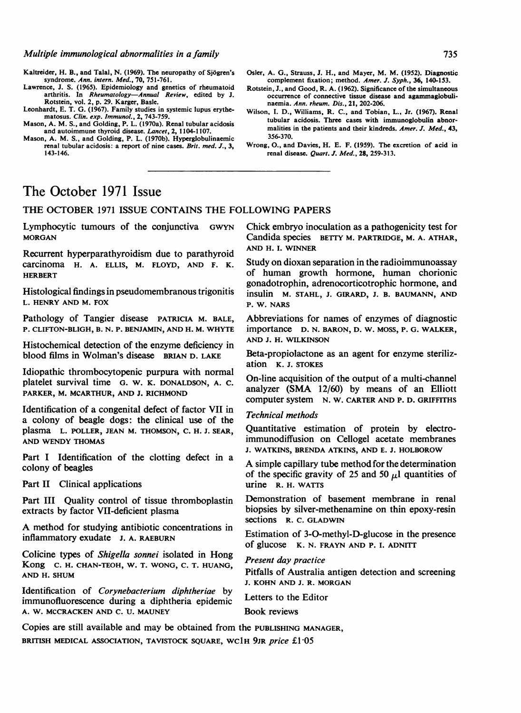- Kaltreider, H. B., and Talal, N. (1969). The neuropathy of Sjögren's syndrome. Ann. intern. Med., 70, 751-761.
- Lawrence, J. S. (1965). Epidemiology and genetics of rheumatoid arthritis. In Rheumatology-Annual Review, edited by J. Rotstein, vol. 2, p. 29. Karger, Basle.
- Leonhardt, E. T. G. (1967). Family studies in systemic lupus erythematosus. Clin. exp. Immunol., 2, 743-759.
- Mason, A. M. S., and Golding, P. L. (1970a). Renal tubular acidosis and autoimmune thyroid disease. Lancet, 2, 1104-1107.
- Mason, A. M. S., and Golding, P. L. (1970b). Hyperglobulinaemic renal tubular acidosis: a report of nine cases. Brit. med. J., 3, 143-146.
- The October 1971 Issue

### THE OCTOBER <sup>1971</sup> ISSUE CONTAINS THE FOLLOWING PAPERS

Lymphocytic tumours of the conjunctiva GWYN MORGAN

Recurrent hyperparathyroidism due to parathyroid carcinoma H. A. ELLIS, M. FLOYD, AND F. K. HERBERT

Histological findings in pseudomembranous trigonitis L. HENRY AND M. FOX

Pathology of Tangier disease PATRICIA M. BALE, P. CLIFrON-BLIGH, B. N. P. BENJAMIN, AND H. M. WHYTE

Histochemical detection of the enzyme deficiency in blood films in Wolman's disease BRIAN D. LAKE

Idiopathic thrombocytopenic purpura with normal platelet survival time G. W. K. DONALDSON, A. C. PARKER, M. MCARTHUR, AND J. RICHMOND

Identification of a congenital defect of factor VII in a colony of beagle dogs: the clinical use of the plasma L. POLLER, JEAN M. THOMSON, C. H. J. SEAR, AND WENDY THOMAS

Part I Identification of the clotting defect in a colony of beagles

Part II Clinical applications

Part III Quality control of tissue thromboplastin extracts by factor VII-deficient plasma

A method for studying antibiotic concentrations in inflammatory exudate J. A. RAEBURN

Colicine types of Shigella sonnei isolated in Hong Kong C. H. CHAN-TEOH, W. T. WONG, C. T. HUANG, AND H. SHUM

Identification of Corynebacterium diphtheriae by immunofluorescence during a diphtheria epidemic A. W. MCCRACKEN AND C. U. MAUNEY

Chick embryo inoculation as a pathogenicity test for Candida species BETTY M. PARTRIDGE, M. A. ATHAR, AND H. I. WINNER

Osler, A. G., Strauss, J. H., and Mayer, M. M. (1952). Diagnostic complement fixation; method. Amer. J. Syph., 36, 140-153. Rotstein, J., and Good, R. A. (1962). Significance of the simultaneous occurrence of connective tissue disease and agammaglobuli-

Wilson, I. D., Williams, R. C., and Tobian, L., Jr. (1967). Renal tubular acidosis. Three cases with immunoglobulin abnormalities in the patients and their kindreds. Amer. J. Med., 43,

Wrong, O., and Davies, H. E. F. (1959). The excretion of acid in

naemia. Ann. rheum. Dis., 21, 202-206.

renal disease. Quart. J. Med., 28, 259-313.

356-370.

Study on dioxan separation in the radioimmunoassay of human growth hormone, human chorionic gonadotrophin, adrenocorticotrophic hormone, and insulin M. STAHL, J. GIRARD, J. B. BAUMANN, AND P. W. NARS

Abbreviations for names of enzymes of diagnostic importance D. N. BARON, D. W. MOSS, P. G. WALKER, AND J. H. WILKINSON

Beta-propiolactone as an agent for enzyme sterilization K. J. STOKES

On-line acquisition of the output of a multi-channel analyzer (SMA 12/60) by means of an Elliott computer system N. W. CARTER AND P. D. GRIFFITHS

#### Technical methods

Quantitative estimation of protein by electroimmunodiffusion on Cellogel acetate membranes J. WATKINS, BRENDA ATKINS, AND E. J. HOLBOROW

A simple capillary tube method for the determination of the specific gravity of 25 and 50  $\mu$ l quantities of urine R. H. WATTS

Demonstration of basement membrane in renal biopsies by silver-methenamine on thin epoxy-resin sections R. C. GLADWIN

Estimation of 3-O-methyl-D-glucose in the presence of glucose K. N. FRAYN AND P. I. ADNITT

#### Present day practice

Pitfalls of Australia antigen detection and screening J. KOHN AND J. R. MORGAN

Letters to the Editor

Book reviews

Copies are still available and may be obtained from the PUBLISHING MANAGER, BRITISH MEDICAL ASSOCIATION, TAVISTOCK SQUARE, WC1H 9JR price £1.05